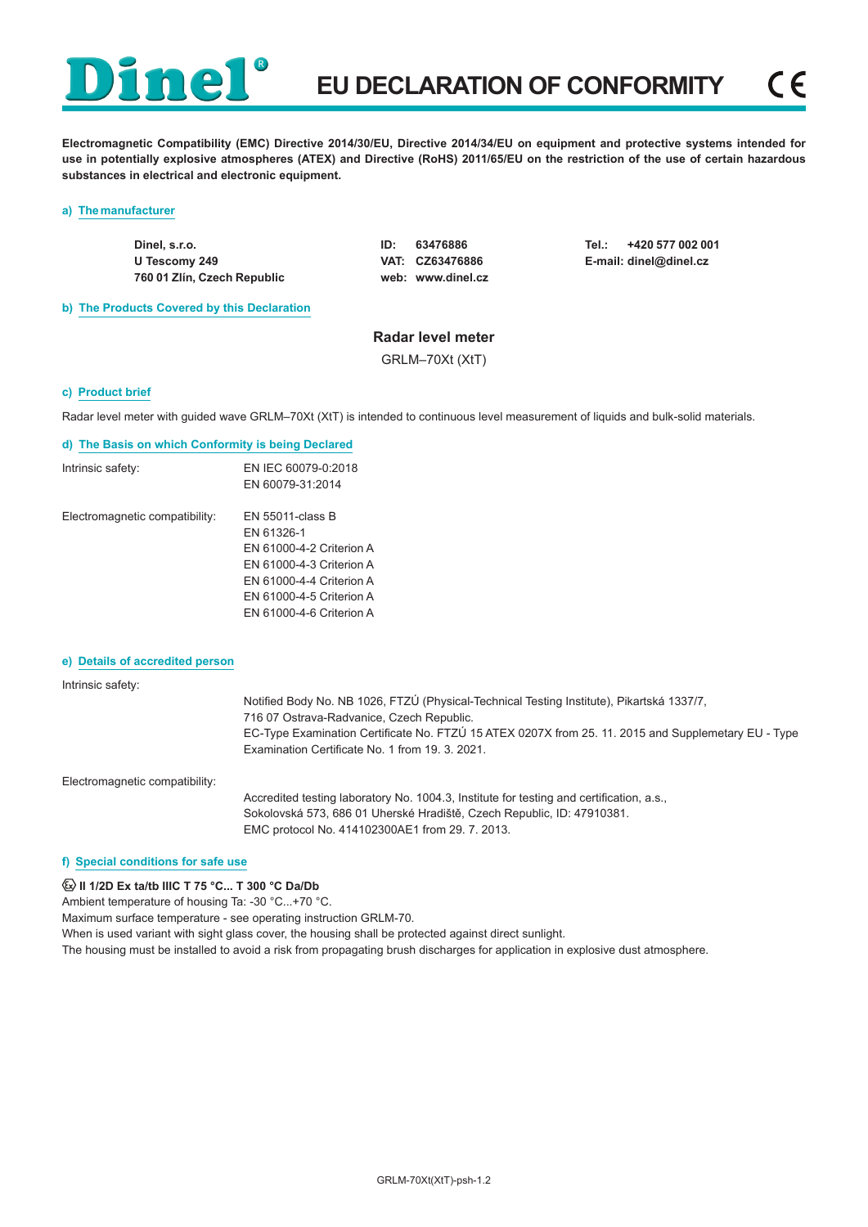**Electromagnetic Compatibility (EMC) Directive 2014/30/EU, Directive 2014/34/EU on equipment and protective systems intended for use in potentially explosive atmospheres (ATEX) and Directive (RoHS) 2011/65/EU on the restriction of the use of certain hazardous substances in electrical and electronic equipment.**

#### **a) The manufacturer**

**Dinel, s.r.o. U Tescomy 249 760 01 Zlín, Czech Republic** **ID: 63476886 VAT: CZ63476886 web: www.dinel.cz** **Tel.: +420 577 002 001 E-mail: dinel@dinel.cz**

**b) The Products Covered by this Declaration**

## **Radar level meter**

GRLM–70Xt (XtT)

#### **c) Product brief**

Radar level meter with guided wave GRLM–70Xt (XtT) is intended to continuous level measurement of liquids and bulk-solid materials.

#### **d) The Basis on which Conformity is being Declared**

| Intrinsic safety:              | EN IEC 60079-0:2018      |
|--------------------------------|--------------------------|
|                                | EN 60079-31:2014         |
| Electromagnetic compatibility: | EN 55011-class B         |
|                                | EN 61326-1               |
|                                | EN 61000-4-2 Criterion A |
|                                | EN 61000-4-3 Criterion A |
|                                | EN 61000-4-4 Criterion A |
|                                | EN 61000-4-5 Criterion A |
|                                | EN 61000-4-6 Criterion A |
|                                |                          |

#### **e) Details of accredited person**

# Intrinsic safety:

Notified Body No. NB 1026, FTZÚ (Physical-Technical Testing Institute), Pikartská 1337/7, 716 07 Ostrava-Radvanice, Czech Republic. EC-Type Examination Certificate No. FTZÚ 15 ATEX 0207X from 25. 11. 2015 and Supplemetary EU - Type Examination Certificate No. 1 from 19. 3. 2021.

Electromagnetic compatibility:

Accredited testing laboratory No. 1004.3, Institute for testing and certification, a.s., Sokolovská 573, 686 01 Uherské Hradiště, Czech Republic, ID: 47910381. EMC protocol No. 414102300AE1 from 29. 7. 2013.

#### **f) Special conditions for safe use**

**E** II 1/2D Ex ta/tb IIIC T 75 °C... T 300 °C Da/Db

Ambient temperature of housing Ta: -30 °C...+70 °C.

Maximum surface temperature - see operating instruction GRLM-70.

When is used variant with sight glass cover, the housing shall be protected against direct sunlight.

The housing must be installed to avoid a risk from propagating brush discharges for application in explosive dust atmosphere.